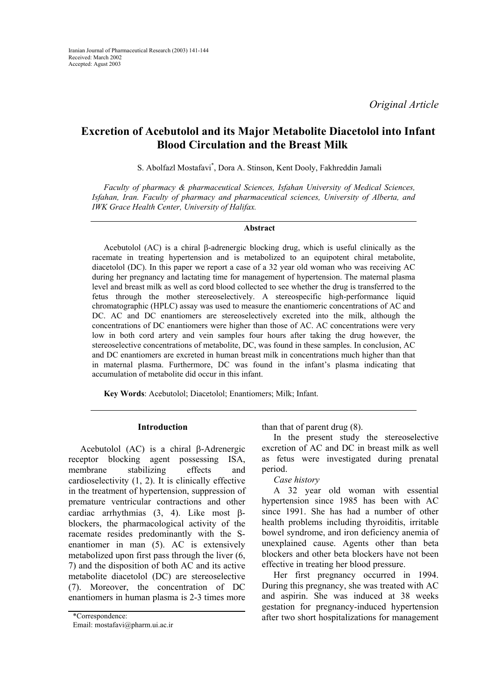*Original Article*

# **Excretion of Acebutolol and its Major Metabolite Diacetolol into Infant Blood Circulation and the Breast Milk**

S. Abolfazl Mostafavi\* , Dora A. Stinson, Kent Dooly, Fakhreddin Jamali

*Faculty of pharmacy & pharmaceutical Sciences, Isfahan University of Medical Sciences, Isfahan, Iran. Faculty of pharmacy and pharmaceutical sciences, University of Alberta, and IWK Grace Health Center, University of Halifax.* 

#### **Abstract**

Acebutolol (AC) is a chiral β-adrenergic blocking drug, which is useful clinically as the racemate in treating hypertension and is metabolized to an equipotent chiral metabolite, diacetolol (DC). In this paper we report a case of a 32 year old woman who was receiving AC during her pregnancy and lactating time for management of hypertension. The maternal plasma level and breast milk as well as cord blood collected to see whether the drug is transferred to the fetus through the mother stereoselectively. A stereospecific high-performance liquid chromatographic (HPLC) assay was used to measure the enantiomeric concentrations of AC and DC. AC and DC enantiomers are stereoselectively excreted into the milk, although the concentrations of DC enantiomers were higher than those of AC. AC concentrations were very low in both cord artery and vein samples four hours after taking the drug however, the stereoselective concentrations of metabolite, DC, was found in these samples. In conclusion, AC and DC enantiomers are excreted in human breast milk in concentrations much higher than that in maternal plasma. Furthermore, DC was found in the infant's plasma indicating that accumulation of metabolite did occur in this infant.

**Key Words**: Acebutolol; Diacetolol; Enantiomers; Milk; Infant.

# **Introduction**

Acebutolol (AC) is a chiral β-Adrenergic receptor blocking agent possessing ISA, membrane stabilizing effects and cardioselectivity (1, 2). It is clinically effective in the treatment of hypertension, suppression of premature ventricular contractions and other cardiac arrhythmias (3, 4). Like most βblockers, the pharmacological activity of the racemate resides predominantly with the Senantiomer in man (5). AC is extensively metabolized upon first pass through the liver (6, 7) and the disposition of both AC and its active metabolite diacetolol (DC) are stereoselective (7). Moreover, the concentration of DC enantiomers in human plasma is 2-3 times more

than that of parent drug (8).

In the present study the stereoselective excretion of AC and DC in breast milk as well as fetus were investigated during prenatal period.

# *Case history*

A 32 year old woman with essential hypertension since 1985 has been with AC since 1991. She has had a number of other health problems including thyroiditis, irritable bowel syndrome, and iron deficiency anemia of unexplained cause. Agents other than beta blockers and other beta blockers have not been effective in treating her blood pressure.

Her first pregnancy occurred in 1994. During this pregnancy, she was treated with AC and aspirin. She was induced at 38 weeks gestation for pregnancy-induced hypertension \*Correspondence: after two short hospitalizations for management

Email: mostafavi@pharm.ui.ac.ir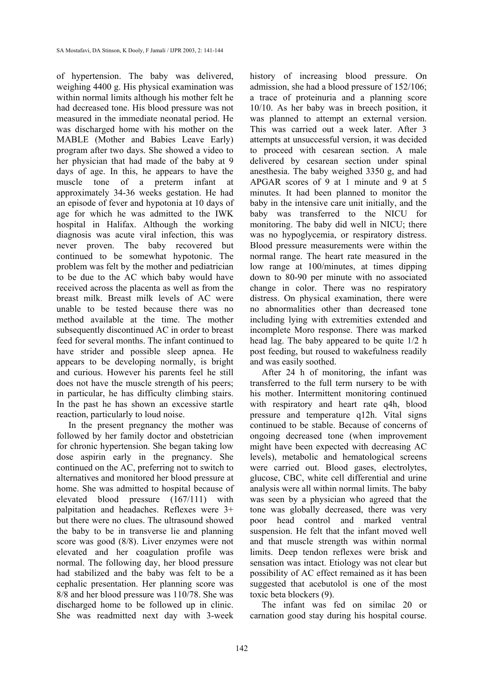of hypertension. The baby was delivered, weighing 4400 g. His physical examination was within normal limits although his mother felt he had decreased tone. His blood pressure was not measured in the immediate neonatal period. He was discharged home with his mother on the MABLE (Mother and Babies Leave Early) program after two days. She showed a video to her physician that had made of the baby at 9 days of age. In this, he appears to have the muscle tone of a preterm infant at approximately 34-36 weeks gestation. He had an episode of fever and hypotonia at 10 days of age for which he was admitted to the IWK hospital in Halifax. Although the working diagnosis was acute viral infection, this was never proven. The baby recovered but continued to be somewhat hypotonic. The problem was felt by the mother and pediatrician to be due to the AC which baby would have received across the placenta as well as from the breast milk. Breast milk levels of AC were unable to be tested because there was no method available at the time. The mother subsequently discontinued AC in order to breast feed for several months. The infant continued to have strider and possible sleep apnea. He appears to be developing normally, is bright and curious. However his parents feel he still does not have the muscle strength of his peers; in particular, he has difficulty climbing stairs. In the past he has shown an excessive startle reaction, particularly to loud noise.

In the present pregnancy the mother was followed by her family doctor and obstetrician for chronic hypertension. She began taking low dose aspirin early in the pregnancy. She continued on the AC, preferring not to switch to alternatives and monitored her blood pressure at home. She was admitted to hospital because of elevated blood pressure (167/111) with palpitation and headaches. Reflexes were 3+ but there were no clues. The ultrasound showed the baby to be in transverse lie and planning score was good (8/8). Liver enzymes were not elevated and her coagulation profile was normal. The following day, her blood pressure had stabilized and the baby was felt to be a cephalic presentation. Her planning score was 8/8 and her blood pressure was 110/78. She was discharged home to be followed up in clinic. She was readmitted next day with 3-week

history of increasing blood pressure. On admission, she had a blood pressure of 152/106; a trace of proteinuria and a planning score 10/10. As her baby was in breech position, it was planned to attempt an external version. This was carried out a week later. After 3 attempts at unsuccessful version, it was decided to proceed with cesarean section. A male delivered by cesarean section under spinal anesthesia. The baby weighed 3350 g, and had APGAR scores of 9 at 1 minute and 9 at 5 minutes. It had been planned to monitor the baby in the intensive care unit initially, and the baby was transferred to the NICU for monitoring. The baby did well in NICU; there was no hypoglycemia, or respiratory distress. Blood pressure measurements were within the normal range. The heart rate measured in the low range at 100/minutes, at times dipping down to 80-90 per minute with no associated change in color. There was no respiratory distress. On physical examination, there were no abnormalities other than decreased tone including lying with extremities extended and incomplete Moro response. There was marked head lag. The baby appeared to be quite 1/2 h post feeding, but roused to wakefulness readily and was easily soothed.

After 24 h of monitoring, the infant was transferred to the full term nursery to be with his mother. Intermittent monitoring continued with respiratory and heart rate q4h, blood pressure and temperature q12h. Vital signs continued to be stable. Because of concerns of ongoing decreased tone (when improvement might have been expected with decreasing AC levels), metabolic and hematological screens were carried out. Blood gases, electrolytes, glucose, CBC, white cell differential and urine analysis were all within normal limits. The baby was seen by a physician who agreed that the tone was globally decreased, there was very poor head control and marked ventral suspension. He felt that the infant moved well and that muscle strength was within normal limits. Deep tendon reflexes were brisk and sensation was intact. Etiology was not clear but possibility of AC effect remained as it has been suggested that acebutolol is one of the most toxic beta blockers (9).

The infant was fed on similac 20 or carnation good stay during his hospital course.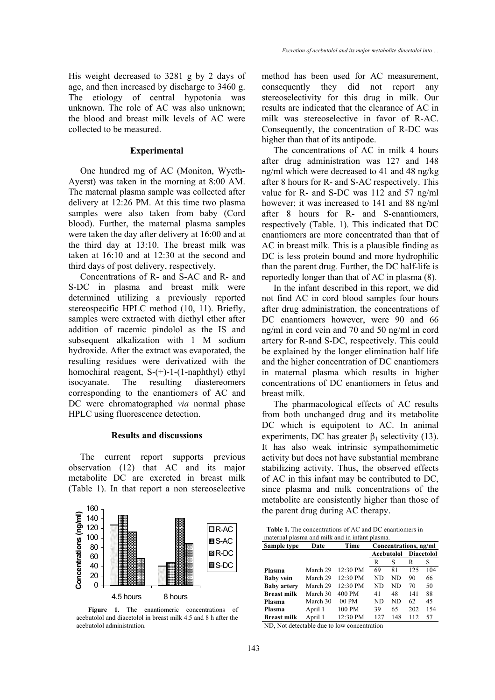His weight decreased to 3281 g by 2 days of age, and then increased by discharge to 3460 g. The etiology of central hypotonia was unknown. The role of AC was also unknown; the blood and breast milk levels of AC were collected to be measured.

## **Experimental**

One hundred mg of AC (Moniton, Wyeth-Ayerst) was taken in the morning at 8:00 AM. The maternal plasma sample was collected after delivery at 12:26 PM. At this time two plasma samples were also taken from baby (Cord blood). Further, the maternal plasma samples were taken the day after delivery at 16:00 and at the third day at 13:10. The breast milk was taken at 16:10 and at 12:30 at the second and third days of post delivery, respectively.

Concentrations of R- and S-AC and R- and S-DC in plasma and breast milk were determined utilizing a previously reported stereospecific HPLC method (10, 11). Briefly, samples were extracted with diethyl ether after addition of racemic pindolol as the IS and subsequent alkalization with 1 M sodium hydroxide. After the extract was evaporated, the resulting residues were derivatized with the homochiral reagent, S-(+)-1-(1-naphthyl) ethyl isocyanate. The resulting diastereomers corresponding to the enantiomers of AC and DC were chromatographed *via* normal phase HPLC using fluorescence detection.

#### **Results and discussions**

The current report supports previous observation (12) that AC and its major metabolite DC are excreted in breast milk (Table 1). In that report a non stereoselective



**Figure 1.** The enantiomeric concentrations of acebutolol and diacetolol in breast milk 4.5 and 8 h after the acebutolol administration.

method has been used for AC measurement, consequently they did not report any stereoselectivity for this drug in milk. Our results are indicated that the clearance of AC in milk was stereoselective in favor of R-AC. Consequently, the concentration of R-DC was higher than that of its antipode.

The concentrations of AC in milk 4 hours after drug administration was 127 and 148 ng/ml which were decreased to 41 and 48 ng/kg after 8 hours for R- and S-AC respectively. This value for R- and S-DC was 112 and 57 ng/ml however; it was increased to 141 and 88 ng/ml after 8 hours for R- and S-enantiomers, respectively (Table. 1). This indicated that DC enantiomers are more concentrated than that of AC in breast milk. This is a plausible finding as DC is less protein bound and more hydrophilic than the parent drug. Further, the DC half-life is reportedly longer than that of AC in plasma (8).

In the infant described in this report, we did not find AC in cord blood samples four hours after drug administration, the concentrations of DC enantiomers however, were 90 and 66 ng/ml in cord vein and 70 and 50 ng/ml in cord artery for R-and S-DC, respectively. This could be explained by the longer elimination half life and the higher concentration of DC enantiomers in maternal plasma which results in higher concentrations of DC enantiomers in fetus and breast milk.

The pharmacological effects of AC results from both unchanged drug and its metabolite DC which is equipotent to AC. In animal experiments, DC has greater  $\beta_1$  selectivity (13). It has also weak intrinsic sympathomimetic activity but does not have substantial membrane stabilizing activity. Thus, the observed effects of AC in this infant may be contributed to DC, since plasma and milk concentrations of the metabolite are consistently higher than those of the parent drug during AC therapy.

| <b>Table 1.</b> The concentrations of AC and DC enantiomers in |  |
|----------------------------------------------------------------|--|
| maternal plasma and milk and in infant plasma.                 |  |

| Sample type        | Date     | Time     | Concentrations, ng/ml |     |                   |     |
|--------------------|----------|----------|-----------------------|-----|-------------------|-----|
|                    |          |          | Acebutolol            |     | <b>Diacetolol</b> |     |
|                    |          |          | R                     | S   | R                 | S   |
| Plasma             | March 29 | 12:30 PM | 69                    | 81  | 125               | 104 |
| <b>Baby vein</b>   | March 29 | 12:30 PM | ND                    | ND  | 90                | 66  |
| <b>Baby artery</b> | March 29 | 12:30 PM | ND                    | ND  | 70                | 50  |
| <b>Breast milk</b> | March 30 | 400 PM   | 41                    | 48  | 141               | 88  |
| Plasma             | March 30 | 00 PM    | ND                    | ND  | 62                | 45  |
| Plasma             | April 1  | 100 PM   | 39                    | 65  | 202               | 154 |
| <b>Breast milk</b> | April 1  | 12:30 PM | 127                   | 148 | 112               | 57  |

ND, Not detectable due to low concentration